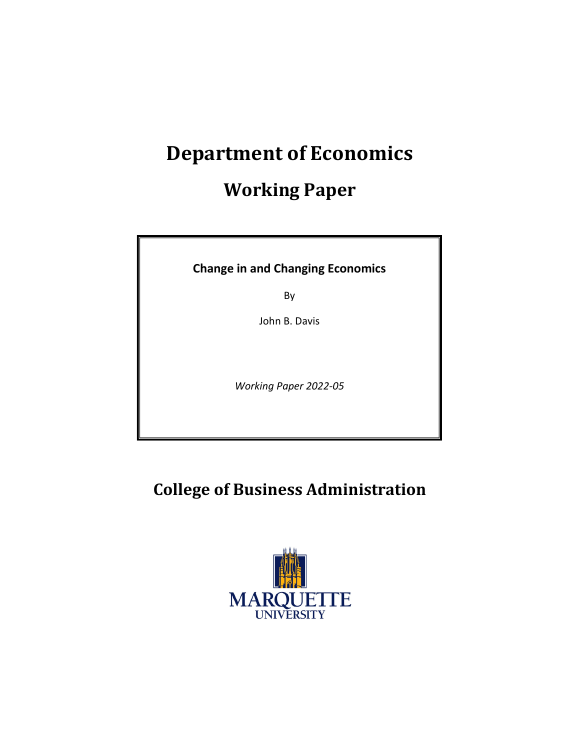# **Department of Economics**

# **Working Paper**

**Change in and Changing Economics**

By

John B. Davis

*Working Paper 2022-05* 

**College of Business Administration**

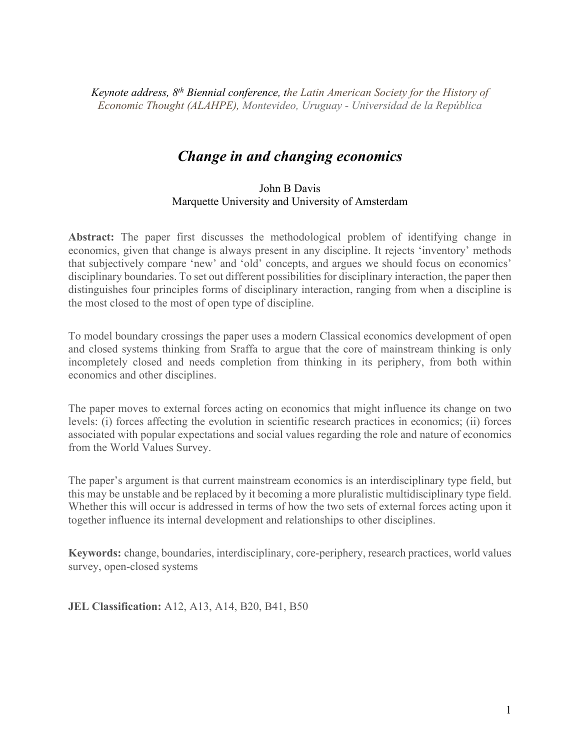*Keynote address, 8th Biennial conference, the Latin American Society for the History of Economic Thought (ALAHPE), Montevideo, Uruguay - Universidad de la República*

# *Change in and changing economics*

#### John B Davis Marquette University and University of Amsterdam

**Abstract:** The paper first discusses the methodological problem of identifying change in economics, given that change is always present in any discipline. It rejects 'inventory' methods that subjectively compare 'new' and 'old' concepts, and argues we should focus on economics' disciplinary boundaries. To set out different possibilities for disciplinary interaction, the paper then distinguishes four principles forms of disciplinary interaction, ranging from when a discipline is the most closed to the most of open type of discipline.

To model boundary crossings the paper uses a modern Classical economics development of open and closed systems thinking from Sraffa to argue that the core of mainstream thinking is only incompletely closed and needs completion from thinking in its periphery, from both within economics and other disciplines.

The paper moves to external forces acting on economics that might influence its change on two levels: (i) forces affecting the evolution in scientific research practices in economics; (ii) forces associated with popular expectations and social values regarding the role and nature of economics from the World Values Survey.

The paper's argument is that current mainstream economics is an interdisciplinary type field, but this may be unstable and be replaced by it becoming a more pluralistic multidisciplinary type field. Whether this will occur is addressed in terms of how the two sets of external forces acting upon it together influence its internal development and relationships to other disciplines.

**Keywords:** change, boundaries, interdisciplinary, core-periphery, research practices, world values survey, open-closed systems

**JEL Classification:** A12, A13, A14, B20, B41, B50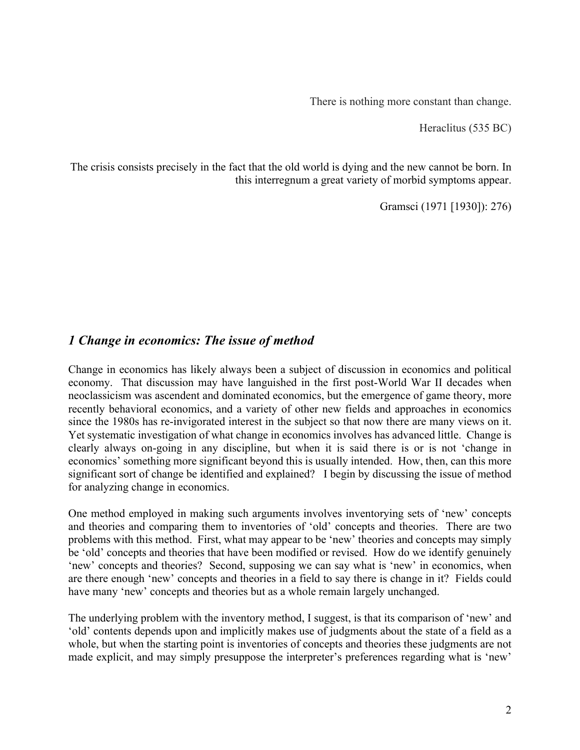There is nothing more constant than change.

Heraclitus (535 BC)

The crisis consists precisely in the fact that the old world is dying and the new cannot be born. In this interregnum a great variety of morbid symptoms appear.

Gramsci (1971 [1930]): 276)

## *1 Change in economics: The issue of method*

Change in economics has likely always been a subject of discussion in economics and political economy. That discussion may have languished in the first post-World War II decades when neoclassicism was ascendent and dominated economics, but the emergence of game theory, more recently behavioral economics, and a variety of other new fields and approaches in economics since the 1980s has re-invigorated interest in the subject so that now there are many views on it. Yet systematic investigation of what change in economics involves has advanced little. Change is clearly always on-going in any discipline, but when it is said there is or is not 'change in economics' something more significant beyond this is usually intended. How, then, can this more significant sort of change be identified and explained? I begin by discussing the issue of method for analyzing change in economics.

One method employed in making such arguments involves inventorying sets of 'new' concepts and theories and comparing them to inventories of 'old' concepts and theories. There are two problems with this method. First, what may appear to be 'new' theories and concepts may simply be 'old' concepts and theories that have been modified or revised. How do we identify genuinely 'new' concepts and theories? Second, supposing we can say what is 'new' in economics, when are there enough 'new' concepts and theories in a field to say there is change in it? Fields could have many 'new' concepts and theories but as a whole remain largely unchanged.

The underlying problem with the inventory method, I suggest, is that its comparison of 'new' and 'old' contents depends upon and implicitly makes use of judgments about the state of a field as a whole, but when the starting point is inventories of concepts and theories these judgments are not made explicit, and may simply presuppose the interpreter's preferences regarding what is 'new'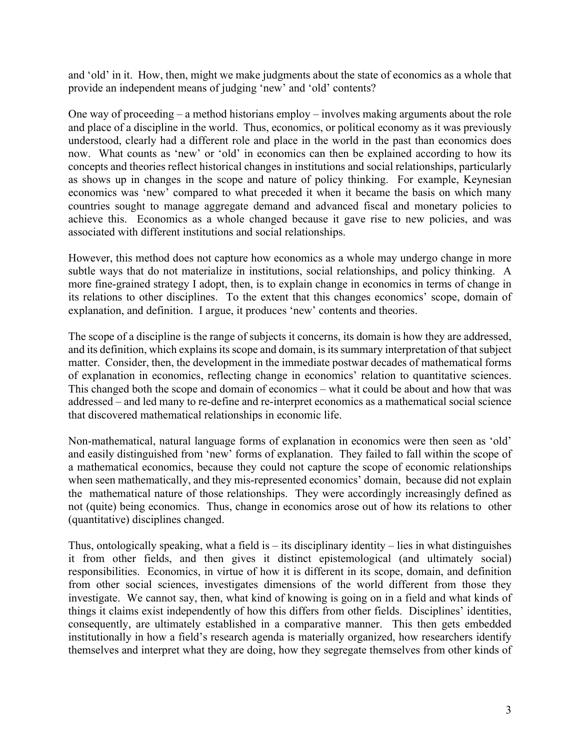and 'old' in it. How, then, might we make judgments about the state of economics as a whole that provide an independent means of judging 'new' and 'old' contents?

One way of proceeding – a method historians employ – involves making arguments about the role and place of a discipline in the world. Thus, economics, or political economy as it was previously understood, clearly had a different role and place in the world in the past than economics does now. What counts as 'new' or 'old' in economics can then be explained according to how its concepts and theories reflect historical changes in institutions and social relationships, particularly as shows up in changes in the scope and nature of policy thinking. For example, Keynesian economics was 'new' compared to what preceded it when it became the basis on which many countries sought to manage aggregate demand and advanced fiscal and monetary policies to achieve this. Economics as a whole changed because it gave rise to new policies, and was associated with different institutions and social relationships.

However, this method does not capture how economics as a whole may undergo change in more subtle ways that do not materialize in institutions, social relationships, and policy thinking. A more fine-grained strategy I adopt, then, is to explain change in economics in terms of change in its relations to other disciplines. To the extent that this changes economics' scope, domain of explanation, and definition. I argue, it produces 'new' contents and theories.

The scope of a discipline is the range of subjects it concerns, its domain is how they are addressed, and its definition, which explains its scope and domain, is its summary interpretation of that subject matter. Consider, then, the development in the immediate postwar decades of mathematical forms of explanation in economics, reflecting change in economics' relation to quantitative sciences. This changed both the scope and domain of economics – what it could be about and how that was addressed – and led many to re-define and re-interpret economics as a mathematical social science that discovered mathematical relationships in economic life.

Non-mathematical, natural language forms of explanation in economics were then seen as 'old' and easily distinguished from 'new' forms of explanation. They failed to fall within the scope of a mathematical economics, because they could not capture the scope of economic relationships when seen mathematically, and they mis-represented economics' domain, because did not explain the mathematical nature of those relationships. They were accordingly increasingly defined as not (quite) being economics. Thus, change in economics arose out of how its relations to other (quantitative) disciplines changed.

Thus, ontologically speaking, what a field is  $-$  its disciplinary identity  $-$  lies in what distinguishes it from other fields, and then gives it distinct epistemological (and ultimately social) responsibilities. Economics, in virtue of how it is different in its scope, domain, and definition from other social sciences, investigates dimensions of the world different from those they investigate. We cannot say, then, what kind of knowing is going on in a field and what kinds of things it claims exist independently of how this differs from other fields. Disciplines' identities, consequently, are ultimately established in a comparative manner. This then gets embedded institutionally in how a field's research agenda is materially organized, how researchers identify themselves and interpret what they are doing, how they segregate themselves from other kinds of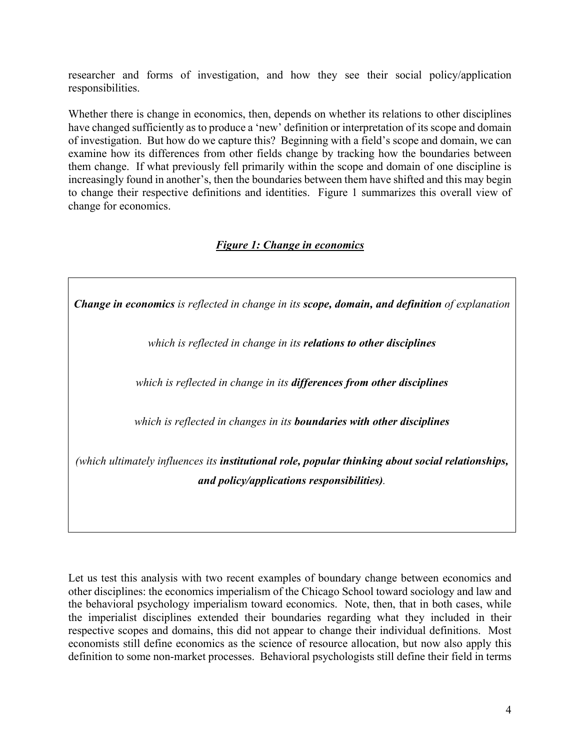researcher and forms of investigation, and how they see their social policy/application responsibilities.

Whether there is change in economics, then, depends on whether its relations to other disciplines have changed sufficiently as to produce a 'new' definition or interpretation of its scope and domain of investigation. But how do we capture this? Beginning with a field's scope and domain, we can examine how its differences from other fields change by tracking how the boundaries between them change. If what previously fell primarily within the scope and domain of one discipline is increasingly found in another's, then the boundaries between them have shifted and this may begin to change their respective definitions and identities. Figure 1 summarizes this overall view of change for economics.

#### *Figure 1: Change in economics*

*Change in economics is reflected in change in its scope, domain, and definition of explanation*

*which is reflected in change in its relations to other disciplines*

*which is reflected in change in its differences from other disciplines*

*which is reflected in changes in its boundaries with other disciplines*

*(which ultimately influences its institutional role, popular thinking about social relationships, and policy/applications responsibilities).*

Let us test this analysis with two recent examples of boundary change between economics and other disciplines: the economics imperialism of the Chicago School toward sociology and law and the behavioral psychology imperialism toward economics. Note, then, that in both cases, while the imperialist disciplines extended their boundaries regarding what they included in their respective scopes and domains, this did not appear to change their individual definitions. Most economists still define economics as the science of resource allocation, but now also apply this definition to some non-market processes. Behavioral psychologists still define their field in terms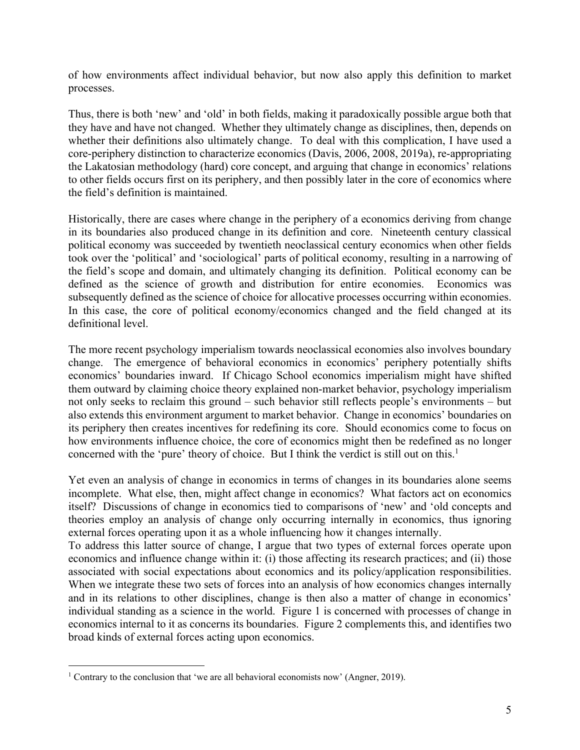of how environments affect individual behavior, but now also apply this definition to market processes.

Thus, there is both 'new' and 'old' in both fields, making it paradoxically possible argue both that they have and have not changed. Whether they ultimately change as disciplines, then, depends on whether their definitions also ultimately change. To deal with this complication, I have used a core-periphery distinction to characterize economics (Davis, 2006, 2008, 2019a), re-appropriating the Lakatosian methodology (hard) core concept, and arguing that change in economics' relations to other fields occurs first on its periphery, and then possibly later in the core of economics where the field's definition is maintained.

Historically, there are cases where change in the periphery of a economics deriving from change in its boundaries also produced change in its definition and core. Nineteenth century classical political economy was succeeded by twentieth neoclassical century economics when other fields took over the 'political' and 'sociological' parts of political economy, resulting in a narrowing of the field's scope and domain, and ultimately changing its definition. Political economy can be defined as the science of growth and distribution for entire economies. Economics was subsequently defined as the science of choice for allocative processes occurring within economies. In this case, the core of political economy/economics changed and the field changed at its definitional level.

The more recent psychology imperialism towards neoclassical economies also involves boundary change. The emergence of behavioral economics in economics' periphery potentially shifts economics' boundaries inward. If Chicago School economics imperialism might have shifted them outward by claiming choice theory explained non-market behavior, psychology imperialism not only seeks to reclaim this ground – such behavior still reflects people's environments – but also extends this environment argument to market behavior. Change in economics' boundaries on its periphery then creates incentives for redefining its core. Should economics come to focus on how environments influence choice, the core of economics might then be redefined as no longer concerned with the 'pure' theory of choice. But I think the verdict is still out on this.<sup>1</sup>

Yet even an analysis of change in economics in terms of changes in its boundaries alone seems incomplete. What else, then, might affect change in economics? What factors act on economics itself? Discussions of change in economics tied to comparisons of 'new' and 'old concepts and theories employ an analysis of change only occurring internally in economics, thus ignoring external forces operating upon it as a whole influencing how it changes internally.

To address this latter source of change, I argue that two types of external forces operate upon economics and influence change within it: (i) those affecting its research practices; and (ii) those associated with social expectations about economics and its policy/application responsibilities. When we integrate these two sets of forces into an analysis of how economics changes internally and in its relations to other disciplines, change is then also a matter of change in economics' individual standing as a science in the world. Figure 1 is concerned with processes of change in economics internal to it as concerns its boundaries. Figure 2 complements this, and identifies two broad kinds of external forces acting upon economics.

<sup>&</sup>lt;sup>1</sup> Contrary to the conclusion that 'we are all behavioral economists now' (Angner, 2019).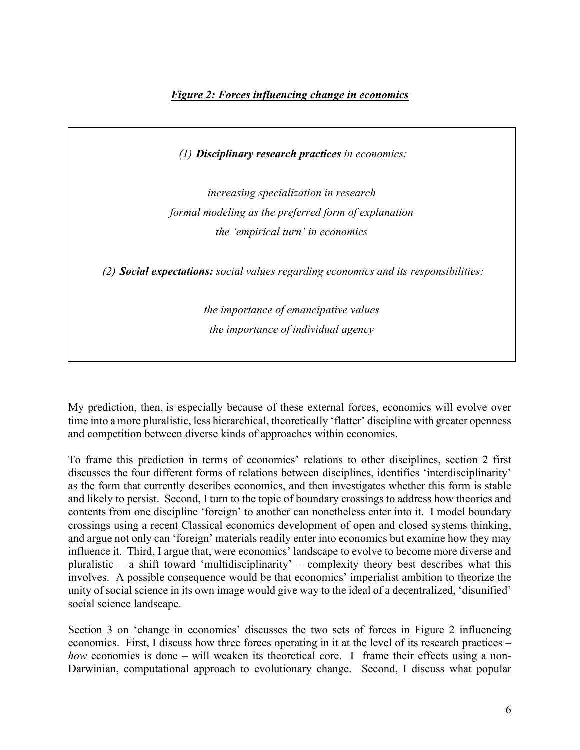*(1) Disciplinary research practices in economics:* 

*increasing specialization in research formal modeling as the preferred form of explanation the 'empirical turn' in economics*

*(2) Social expectations: social values regarding economics and its responsibilities:*

*the importance of emancipative values the importance of individual agency*

My prediction, then, is especially because of these external forces, economics will evolve over time into a more pluralistic, less hierarchical, theoretically 'flatter' discipline with greater openness and competition between diverse kinds of approaches within economics.

To frame this prediction in terms of economics' relations to other disciplines, section 2 first discusses the four different forms of relations between disciplines, identifies 'interdisciplinarity' as the form that currently describes economics, and then investigates whether this form is stable and likely to persist. Second, I turn to the topic of boundary crossings to address how theories and contents from one discipline 'foreign' to another can nonetheless enter into it. I model boundary crossings using a recent Classical economics development of open and closed systems thinking, and argue not only can 'foreign' materials readily enter into economics but examine how they may influence it. Third, I argue that, were economics' landscape to evolve to become more diverse and pluralistic – a shift toward 'multidisciplinarity' – complexity theory best describes what this involves. A possible consequence would be that economics' imperialist ambition to theorize the unity of social science in its own image would give way to the ideal of a decentralized, 'disunified' social science landscape.

Section 3 on 'change in economics' discusses the two sets of forces in Figure 2 influencing economics. First, I discuss how three forces operating in it at the level of its research practices – *how* economics is done – will weaken its theoretical core. I frame their effects using a non-Darwinian, computational approach to evolutionary change. Second, I discuss what popular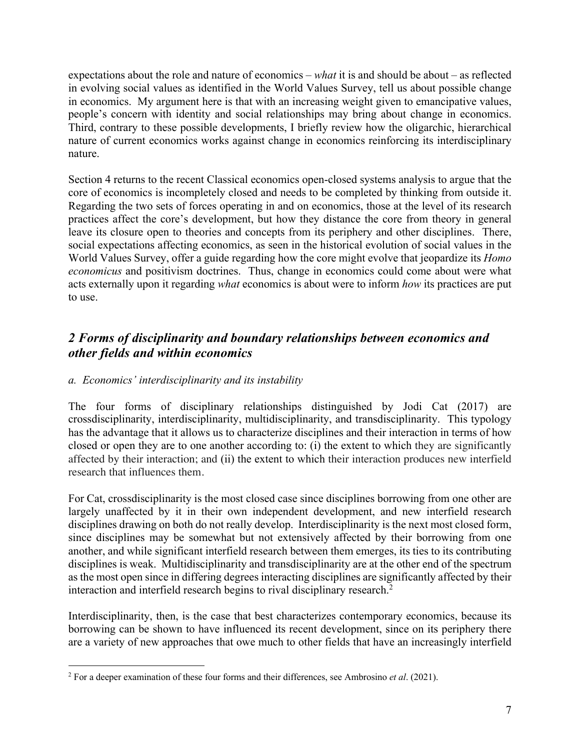expectations about the role and nature of economics – *what* it is and should be about – as reflected in evolving social values as identified in the World Values Survey, tell us about possible change in economics. My argument here is that with an increasing weight given to emancipative values, people's concern with identity and social relationships may bring about change in economics. Third, contrary to these possible developments, I briefly review how the oligarchic, hierarchical nature of current economics works against change in economics reinforcing its interdisciplinary nature.

Section 4 returns to the recent Classical economics open-closed systems analysis to argue that the core of economics is incompletely closed and needs to be completed by thinking from outside it. Regarding the two sets of forces operating in and on economics, those at the level of its research practices affect the core's development, but how they distance the core from theory in general leave its closure open to theories and concepts from its periphery and other disciplines. There, social expectations affecting economics, as seen in the historical evolution of social values in the World Values Survey, offer a guide regarding how the core might evolve that jeopardize its *Homo economicus* and positivism doctrines. Thus, change in economics could come about were what acts externally upon it regarding *what* economics is about were to inform *how* its practices are put to use.

## *2 Forms of disciplinarity and boundary relationships between economics and other fields and within economics*

#### *a. Economics' interdisciplinarity and its instability*

The four forms of disciplinary relationships distinguished by Jodi Cat (2017) are crossdisciplinarity, interdisciplinarity, multidisciplinarity, and transdisciplinarity. This typology has the advantage that it allows us to characterize disciplines and their interaction in terms of how closed or open they are to one another according to: (i) the extent to which they are significantly affected by their interaction; and (ii) the extent to which their interaction produces new interfield research that influences them.

For Cat, crossdisciplinarity is the most closed case since disciplines borrowing from one other are largely unaffected by it in their own independent development, and new interfield research disciplines drawing on both do not really develop. Interdisciplinarity is the next most closed form, since disciplines may be somewhat but not extensively affected by their borrowing from one another, and while significant interfield research between them emerges, its ties to its contributing disciplines is weak. Multidisciplinarity and transdisciplinarity are at the other end of the spectrum as the most open since in differing degrees interacting disciplines are significantly affected by their interaction and interfield research begins to rival disciplinary research.<sup>2</sup>

Interdisciplinarity, then, is the case that best characterizes contemporary economics, because its borrowing can be shown to have influenced its recent development, since on its periphery there are a variety of new approaches that owe much to other fields that have an increasingly interfield

<sup>2</sup> For a deeper examination of these four forms and their differences, see Ambrosino *et al*. (2021).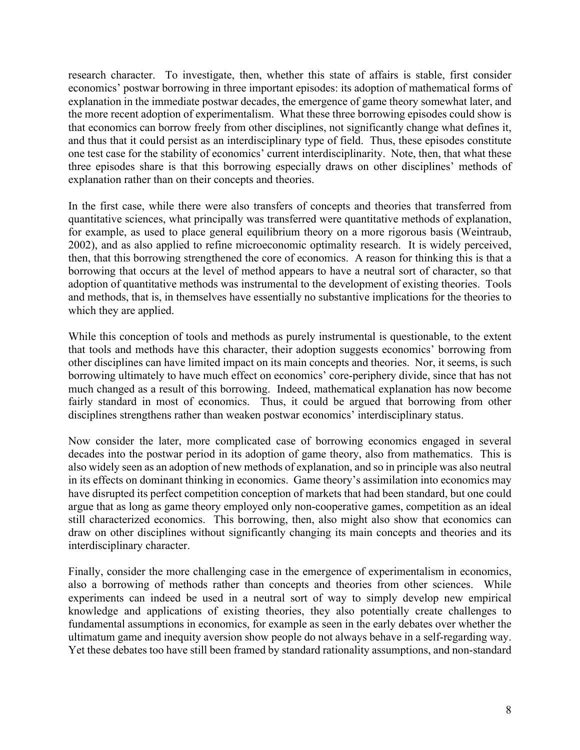research character. To investigate, then, whether this state of affairs is stable, first consider economics' postwar borrowing in three important episodes: its adoption of mathematical forms of explanation in the immediate postwar decades, the emergence of game theory somewhat later, and the more recent adoption of experimentalism. What these three borrowing episodes could show is that economics can borrow freely from other disciplines, not significantly change what defines it, and thus that it could persist as an interdisciplinary type of field. Thus, these episodes constitute one test case for the stability of economics' current interdisciplinarity. Note, then, that what these three episodes share is that this borrowing especially draws on other disciplines' methods of explanation rather than on their concepts and theories.

In the first case, while there were also transfers of concepts and theories that transferred from quantitative sciences, what principally was transferred were quantitative methods of explanation, for example, as used to place general equilibrium theory on a more rigorous basis (Weintraub, 2002), and as also applied to refine microeconomic optimality research. It is widely perceived, then, that this borrowing strengthened the core of economics. A reason for thinking this is that a borrowing that occurs at the level of method appears to have a neutral sort of character, so that adoption of quantitative methods was instrumental to the development of existing theories. Tools and methods, that is, in themselves have essentially no substantive implications for the theories to which they are applied.

While this conception of tools and methods as purely instrumental is questionable, to the extent that tools and methods have this character, their adoption suggests economics' borrowing from other disciplines can have limited impact on its main concepts and theories. Nor, it seems, is such borrowing ultimately to have much effect on economics' core-periphery divide, since that has not much changed as a result of this borrowing. Indeed, mathematical explanation has now become fairly standard in most of economics. Thus, it could be argued that borrowing from other disciplines strengthens rather than weaken postwar economics' interdisciplinary status.

Now consider the later, more complicated case of borrowing economics engaged in several decades into the postwar period in its adoption of game theory, also from mathematics. This is also widely seen as an adoption of new methods of explanation, and so in principle was also neutral in its effects on dominant thinking in economics. Game theory's assimilation into economics may have disrupted its perfect competition conception of markets that had been standard, but one could argue that as long as game theory employed only non-cooperative games, competition as an ideal still characterized economics. This borrowing, then, also might also show that economics can draw on other disciplines without significantly changing its main concepts and theories and its interdisciplinary character.

Finally, consider the more challenging case in the emergence of experimentalism in economics, also a borrowing of methods rather than concepts and theories from other sciences. While experiments can indeed be used in a neutral sort of way to simply develop new empirical knowledge and applications of existing theories, they also potentially create challenges to fundamental assumptions in economics, for example as seen in the early debates over whether the ultimatum game and inequity aversion show people do not always behave in a self-regarding way. Yet these debates too have still been framed by standard rationality assumptions, and non-standard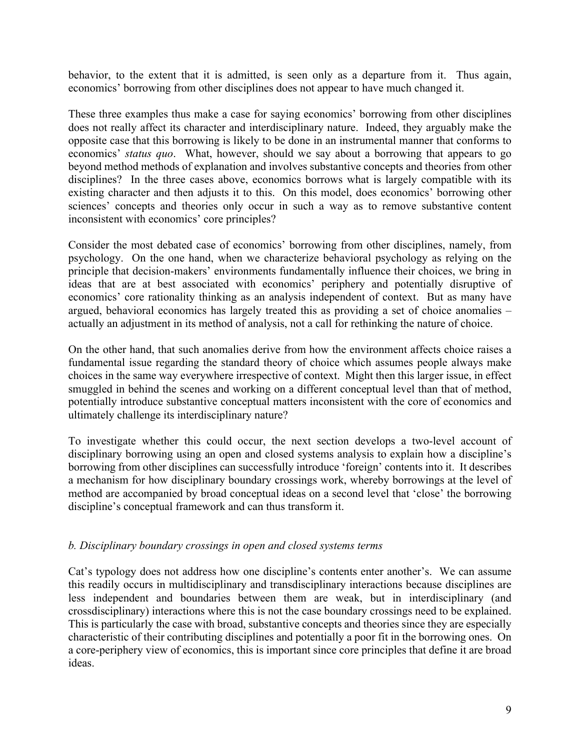behavior, to the extent that it is admitted, is seen only as a departure from it. Thus again, economics' borrowing from other disciplines does not appear to have much changed it.

These three examples thus make a case for saying economics' borrowing from other disciplines does not really affect its character and interdisciplinary nature. Indeed, they arguably make the opposite case that this borrowing is likely to be done in an instrumental manner that conforms to economics' *status quo*. What, however, should we say about a borrowing that appears to go beyond method methods of explanation and involves substantive concepts and theories from other disciplines? In the three cases above, economics borrows what is largely compatible with its existing character and then adjusts it to this. On this model, does economics' borrowing other sciences' concepts and theories only occur in such a way as to remove substantive content inconsistent with economics' core principles?

Consider the most debated case of economics' borrowing from other disciplines, namely, from psychology. On the one hand, when we characterize behavioral psychology as relying on the principle that decision-makers' environments fundamentally influence their choices, we bring in ideas that are at best associated with economics' periphery and potentially disruptive of economics' core rationality thinking as an analysis independent of context. But as many have argued, behavioral economics has largely treated this as providing a set of choice anomalies – actually an adjustment in its method of analysis, not a call for rethinking the nature of choice.

On the other hand, that such anomalies derive from how the environment affects choice raises a fundamental issue regarding the standard theory of choice which assumes people always make choices in the same way everywhere irrespective of context. Might then this larger issue, in effect smuggled in behind the scenes and working on a different conceptual level than that of method, potentially introduce substantive conceptual matters inconsistent with the core of economics and ultimately challenge its interdisciplinary nature?

To investigate whether this could occur, the next section develops a two-level account of disciplinary borrowing using an open and closed systems analysis to explain how a discipline's borrowing from other disciplines can successfully introduce 'foreign' contents into it. It describes a mechanism for how disciplinary boundary crossings work, whereby borrowings at the level of method are accompanied by broad conceptual ideas on a second level that 'close' the borrowing discipline's conceptual framework and can thus transform it.

#### *b. Disciplinary boundary crossings in open and closed systems terms*

Cat's typology does not address how one discipline's contents enter another's. We can assume this readily occurs in multidisciplinary and transdisciplinary interactions because disciplines are less independent and boundaries between them are weak, but in interdisciplinary (and crossdisciplinary) interactions where this is not the case boundary crossings need to be explained. This is particularly the case with broad, substantive concepts and theories since they are especially characteristic of their contributing disciplines and potentially a poor fit in the borrowing ones. On a core-periphery view of economics, this is important since core principles that define it are broad ideas.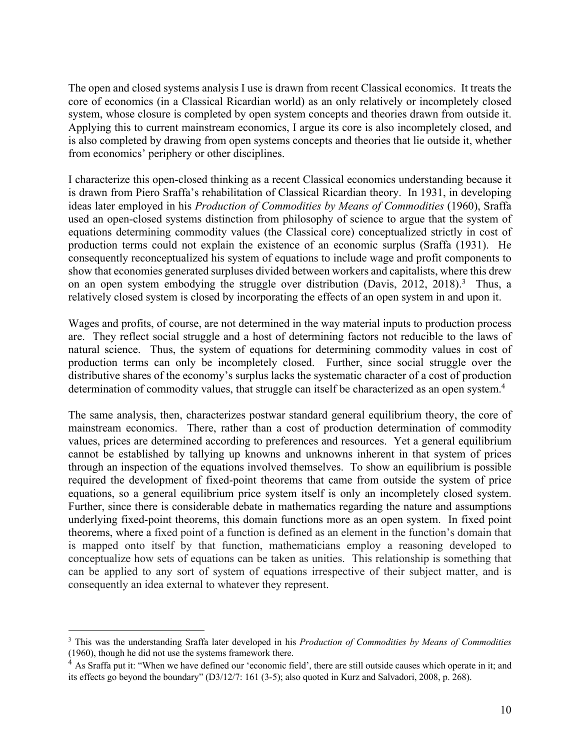The open and closed systems analysis I use is drawn from recent Classical economics. It treats the core of economics (in a Classical Ricardian world) as an only relatively or incompletely closed system, whose closure is completed by open system concepts and theories drawn from outside it. Applying this to current mainstream economics, I argue its core is also incompletely closed, and is also completed by drawing from open systems concepts and theories that lie outside it, whether from economics' periphery or other disciplines.

I characterize this open-closed thinking as a recent Classical economics understanding because it is drawn from Piero Sraffa's rehabilitation of Classical Ricardian theory. In 1931, in developing ideas later employed in his *Production of Commodities by Means of Commodities* (1960), Sraffa used an open-closed systems distinction from philosophy of science to argue that the system of equations determining commodity values (the Classical core) conceptualized strictly in cost of production terms could not explain the existence of an economic surplus (Sraffa (1931). He consequently reconceptualized his system of equations to include wage and profit components to show that economies generated surpluses divided between workers and capitalists, where this drew on an open system embodying the struggle over distribution (Davis, 2012, 2018).<sup>3</sup> Thus, a relatively closed system is closed by incorporating the effects of an open system in and upon it.

Wages and profits, of course, are not determined in the way material inputs to production process are. They reflect social struggle and a host of determining factors not reducible to the laws of natural science. Thus, the system of equations for determining commodity values in cost of production terms can only be incompletely closed. Further, since social struggle over the distributive shares of the economy's surplus lacks the systematic character of a cost of production determination of commodity values, that struggle can itself be characterized as an open system.<sup>4</sup>

The same analysis, then, characterizes postwar standard general equilibrium theory, the core of mainstream economics. There, rather than a cost of production determination of commodity values, prices are determined according to preferences and resources. Yet a general equilibrium cannot be established by tallying up knowns and unknowns inherent in that system of prices through an inspection of the equations involved themselves. To show an equilibrium is possible required the development of fixed-point theorems that came from outside the system of price equations, so a general equilibrium price system itself is only an incompletely closed system. Further, since there is considerable debate in mathematics regarding the nature and assumptions underlying fixed-point theorems, this domain functions more as an open system. In fixed point theorems, where a fixed point of a function is defined as an element in the function's domain that is mapped onto itself by that function, mathematicians employ a reasoning developed to conceptualize how sets of equations can be taken as unities. This relationship is something that can be applied to any sort of system of equations irrespective of their subject matter, and is consequently an idea external to whatever they represent.

<sup>3</sup> This was the understanding Sraffa later developed in his *Production of Commodities by Means of Commodities* (1960), though he did not use the systems framework there.

<sup>&</sup>lt;sup>4</sup> As Sraffa put it: "When we have defined our 'economic field', there are still outside causes which operate in it; and its effects go beyond the boundary" (D3/12/7: 161 (3-5); also quoted in Kurz and Salvadori, 2008, p. 268).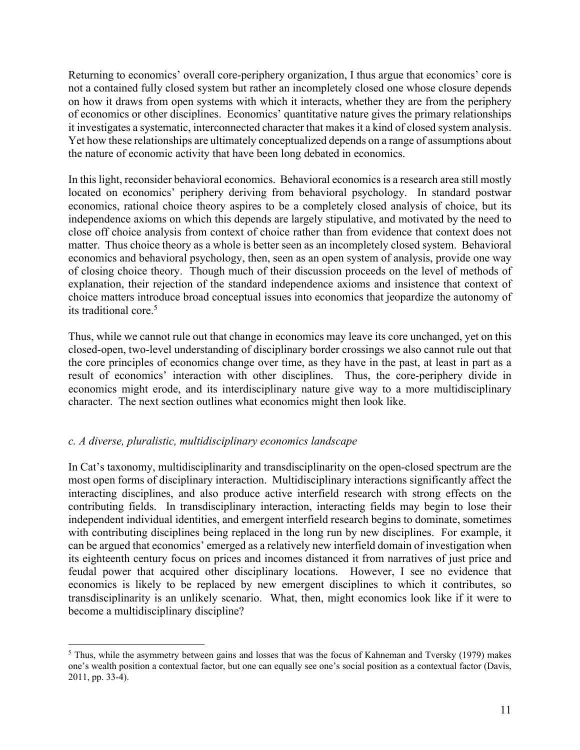Returning to economics' overall core-periphery organization, I thus argue that economics' core is not a contained fully closed system but rather an incompletely closed one whose closure depends on how it draws from open systems with which it interacts, whether they are from the periphery of economics or other disciplines. Economics' quantitative nature gives the primary relationships it investigates a systematic, interconnected character that makes it a kind of closed system analysis. Yet how these relationships are ultimately conceptualized depends on a range of assumptions about the nature of economic activity that have been long debated in economics.

In this light, reconsider behavioral economics. Behavioral economics is a research area still mostly located on economics' periphery deriving from behavioral psychology. In standard postwar economics, rational choice theory aspires to be a completely closed analysis of choice, but its independence axioms on which this depends are largely stipulative, and motivated by the need to close off choice analysis from context of choice rather than from evidence that context does not matter. Thus choice theory as a whole is better seen as an incompletely closed system. Behavioral economics and behavioral psychology, then, seen as an open system of analysis, provide one way of closing choice theory. Though much of their discussion proceeds on the level of methods of explanation, their rejection of the standard independence axioms and insistence that context of choice matters introduce broad conceptual issues into economics that jeopardize the autonomy of its traditional core.5

Thus, while we cannot rule out that change in economics may leave its core unchanged, yet on this closed-open, two-level understanding of disciplinary border crossings we also cannot rule out that the core principles of economics change over time, as they have in the past, at least in part as a result of economics' interaction with other disciplines. Thus, the core-periphery divide in economics might erode, and its interdisciplinary nature give way to a more multidisciplinary character. The next section outlines what economics might then look like.

#### *c. A diverse, pluralistic, multidisciplinary economics landscape*

In Cat's taxonomy, multidisciplinarity and transdisciplinarity on the open-closed spectrum are the most open forms of disciplinary interaction. Multidisciplinary interactions significantly affect the interacting disciplines, and also produce active interfield research with strong effects on the contributing fields. In transdisciplinary interaction, interacting fields may begin to lose their independent individual identities, and emergent interfield research begins to dominate, sometimes with contributing disciplines being replaced in the long run by new disciplines. For example, it can be argued that economics' emerged as a relatively new interfield domain of investigation when its eighteenth century focus on prices and incomes distanced it from narratives of just price and feudal power that acquired other disciplinary locations. However, I see no evidence that economics is likely to be replaced by new emergent disciplines to which it contributes, so transdisciplinarity is an unlikely scenario. What, then, might economics look like if it were to become a multidisciplinary discipline?

<sup>5</sup> Thus, while the asymmetry between gains and losses that was the focus of Kahneman and Tversky (1979) makes one's wealth position a contextual factor, but one can equally see one's social position as a contextual factor (Davis, 2011, pp. 33-4).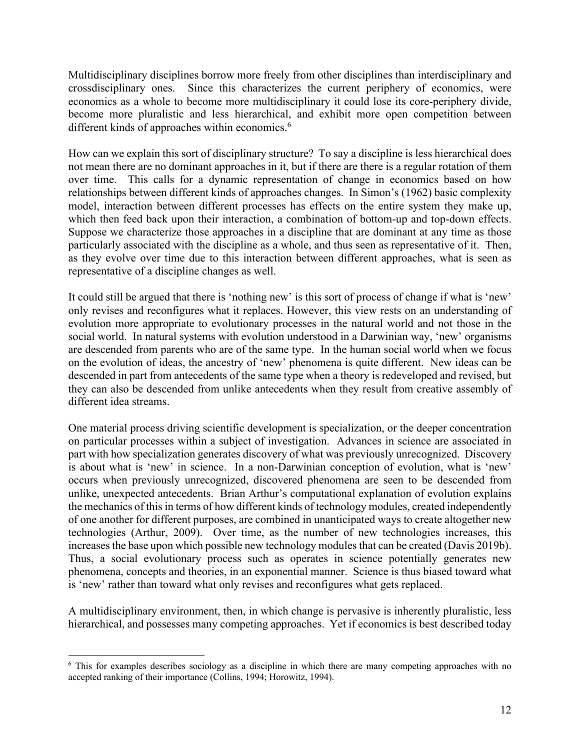Multidisciplinary disciplines borrow more freely from other disciplines than interdisciplinary and crossdisciplinary ones. Since this characterizes the current periphery of economics, were economics as a whole to become more multidisciplinary it could lose its core-periphery divide, become more pluralistic and less hierarchical, and exhibit more open competition between different kinds of approaches within economics. 6

How can we explain this sort of disciplinary structure? To say a discipline is less hierarchical does not mean there are no dominant approaches in it, but if there are there is a regular rotation of them over time. This calls for a dynamic representation of change in economics based on how relationships between different kinds of approaches changes. In Simon's (1962) basic complexity model, interaction between different processes has effects on the entire system they make up, which then feed back upon their interaction, a combination of bottom-up and top-down effects. Suppose we characterize those approaches in a discipline that are dominant at any time as those particularly associated with the discipline as a whole, and thus seen as representative of it. Then, as they evolve over time due to this interaction between different approaches, what is seen as representative of a discipline changes as well.

It could still be argued that there is 'nothing new' is this sort of process of change if what is 'new' only revises and reconfigures what it replaces. However, this view rests on an understanding of evolution more appropriate to evolutionary processes in the natural world and not those in the social world. In natural systems with evolution understood in a Darwinian way, 'new' organisms are descended from parents who are of the same type. In the human social world when we focus on the evolution of ideas, the ancestry of 'new' phenomena is quite different. New ideas can be descended in part from antecedents of the same type when a theory is redeveloped and revised, but they can also be descended from unlike antecedents when they result from creative assembly of different idea streams.

One material process driving scientific development is specialization, or the deeper concentration on particular processes within a subject of investigation. Advances in science are associated in part with how specialization generates discovery of what was previously unrecognized. Discovery is about what is 'new' in science. In a non-Darwinian conception of evolution, what is 'new' occurs when previously unrecognized, discovered phenomena are seen to be descended from unlike, unexpected antecedents. Brian Arthur's computational explanation of evolution explains the mechanics of this in terms of how different kinds of technology modules, created independently of one another for different purposes, are combined in unanticipated ways to create altogether new technologies (Arthur, 2009). Over time, as the number of new technologies increases, this increases the base upon which possible new technology modules that can be created (Davis 2019b). Thus, a social evolutionary process such as operates in science potentially generates new phenomena, concepts and theories, in an exponential manner. Science is thus biased toward what is 'new' rather than toward what only revises and reconfigures what gets replaced.

A multidisciplinary environment, then, in which change is pervasive is inherently pluralistic, less hierarchical, and possesses many competing approaches. Yet if economics is best described today

<sup>&</sup>lt;sup>6</sup> This for examples describes sociology as a discipline in which there are many competing approaches with no accepted ranking of their importance (Collins, 1994; Horowitz, 1994).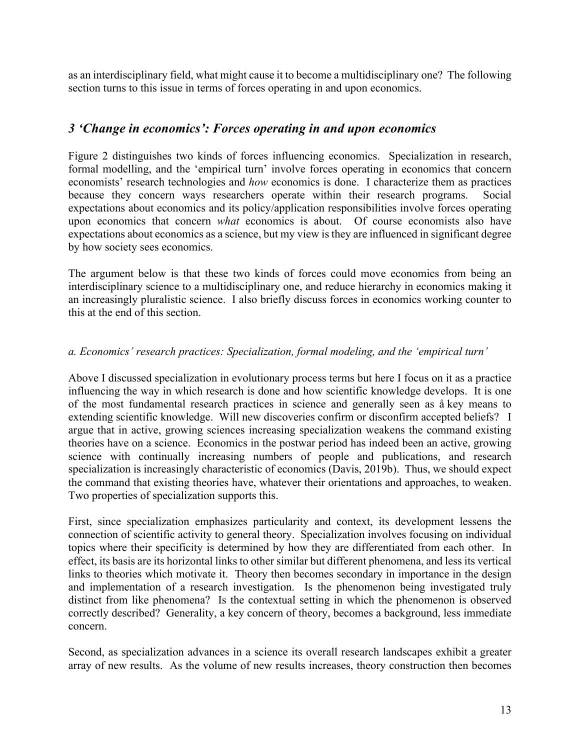as an interdisciplinary field, what might cause it to become a multidisciplinary one? The following section turns to this issue in terms of forces operating in and upon economics.

#### *3 'Change in economics': Forces operating in and upon economics*

Figure 2 distinguishes two kinds of forces influencing economics. Specialization in research, formal modelling, and the 'empirical turn' involve forces operating in economics that concern economists' research technologies and *how* economics is done. I characterize them as practices because they concern ways researchers operate within their research programs. Social expectations about economics and its policy/application responsibilities involve forces operating upon economics that concern *what* economics is about. Of course economists also have expectations about economics as a science, but my view is they are influenced in significant degree by how society sees economics.

The argument below is that these two kinds of forces could move economics from being an interdisciplinary science to a multidisciplinary one, and reduce hierarchy in economics making it an increasingly pluralistic science. I also briefly discuss forces in economics working counter to this at the end of this section.

#### *a. Economics' research practices: Specialization, formal modeling, and the 'empirical turn'*

Above I discussed specialization in evolutionary process terms but here I focus on it as a practice influencing the way in which research is done and how scientific knowledge develops. It is one of the most fundamental research practices in science and generally seen as å key means to extending scientific knowledge. Will new discoveries confirm or disconfirm accepted beliefs? I argue that in active, growing sciences increasing specialization weakens the command existing theories have on a science. Economics in the postwar period has indeed been an active, growing science with continually increasing numbers of people and publications, and research specialization is increasingly characteristic of economics (Davis, 2019b). Thus, we should expect the command that existing theories have, whatever their orientations and approaches, to weaken. Two properties of specialization supports this.

First, since specialization emphasizes particularity and context, its development lessens the connection of scientific activity to general theory. Specialization involves focusing on individual topics where their specificity is determined by how they are differentiated from each other. In effect, its basis are its horizontal links to other similar but different phenomena, and less its vertical links to theories which motivate it. Theory then becomes secondary in importance in the design and implementation of a research investigation. Is the phenomenon being investigated truly distinct from like phenomena? Is the contextual setting in which the phenomenon is observed correctly described? Generality, a key concern of theory, becomes a background, less immediate concern.

Second, as specialization advances in a science its overall research landscapes exhibit a greater array of new results. As the volume of new results increases, theory construction then becomes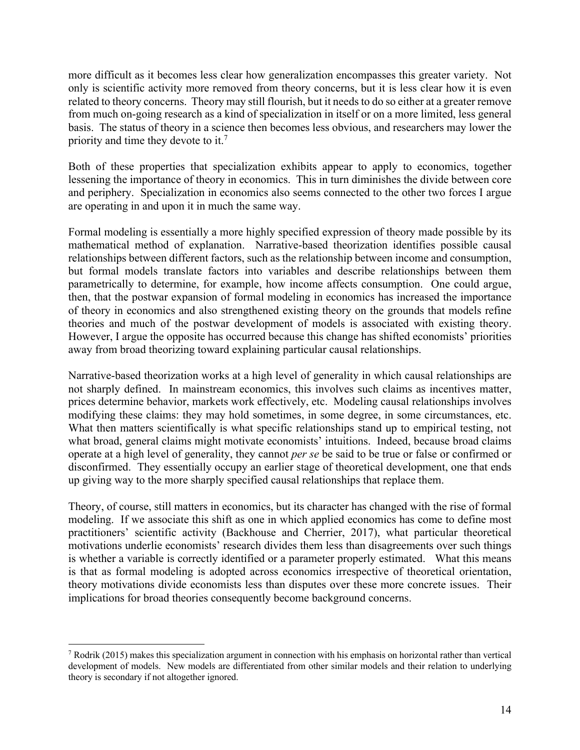more difficult as it becomes less clear how generalization encompasses this greater variety. Not only is scientific activity more removed from theory concerns, but it is less clear how it is even related to theory concerns. Theory may still flourish, but it needs to do so either at a greater remove from much on-going research as a kind of specialization in itself or on a more limited, less general basis. The status of theory in a science then becomes less obvious, and researchers may lower the priority and time they devote to it.7

Both of these properties that specialization exhibits appear to apply to economics, together lessening the importance of theory in economics. This in turn diminishes the divide between core and periphery. Specialization in economics also seems connected to the other two forces I argue are operating in and upon it in much the same way.

Formal modeling is essentially a more highly specified expression of theory made possible by its mathematical method of explanation. Narrative-based theorization identifies possible causal relationships between different factors, such as the relationship between income and consumption, but formal models translate factors into variables and describe relationships between them parametrically to determine, for example, how income affects consumption. One could argue, then, that the postwar expansion of formal modeling in economics has increased the importance of theory in economics and also strengthened existing theory on the grounds that models refine theories and much of the postwar development of models is associated with existing theory. However, I argue the opposite has occurred because this change has shifted economists' priorities away from broad theorizing toward explaining particular causal relationships.

Narrative-based theorization works at a high level of generality in which causal relationships are not sharply defined. In mainstream economics, this involves such claims as incentives matter, prices determine behavior, markets work effectively, etc. Modeling causal relationships involves modifying these claims: they may hold sometimes, in some degree, in some circumstances, etc. What then matters scientifically is what specific relationships stand up to empirical testing, not what broad, general claims might motivate economists' intuitions. Indeed, because broad claims operate at a high level of generality, they cannot *per se* be said to be true or false or confirmed or disconfirmed. They essentially occupy an earlier stage of theoretical development, one that ends up giving way to the more sharply specified causal relationships that replace them.

Theory, of course, still matters in economics, but its character has changed with the rise of formal modeling. If we associate this shift as one in which applied economics has come to define most practitioners' scientific activity (Backhouse and Cherrier, 2017), what particular theoretical motivations underlie economists' research divides them less than disagreements over such things is whether a variable is correctly identified or a parameter properly estimated. What this means is that as formal modeling is adopted across economics irrespective of theoretical orientation, theory motivations divide economists less than disputes over these more concrete issues. Their implications for broad theories consequently become background concerns.

<sup>7</sup> Rodrik (2015) makes this specialization argument in connection with his emphasis on horizontal rather than vertical development of models. New models are differentiated from other similar models and their relation to underlying theory is secondary if not altogether ignored.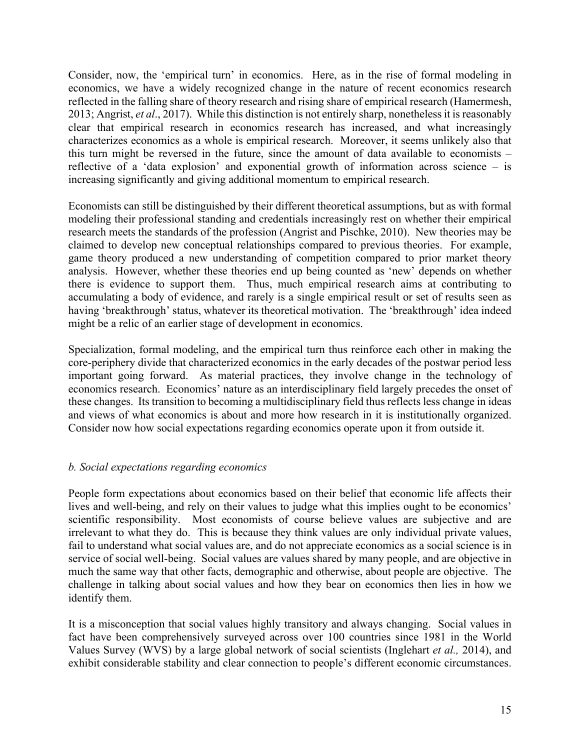Consider, now, the 'empirical turn' in economics. Here, as in the rise of formal modeling in economics, we have a widely recognized change in the nature of recent economics research reflected in the falling share of theory research and rising share of empirical research (Hamermesh, 2013; Angrist, *et al*., 2017). While this distinction is not entirely sharp, nonetheless it is reasonably clear that empirical research in economics research has increased, and what increasingly characterizes economics as a whole is empirical research. Moreover, it seems unlikely also that this turn might be reversed in the future, since the amount of data available to economists – reflective of a 'data explosion' and exponential growth of information across science – is increasing significantly and giving additional momentum to empirical research.

Economists can still be distinguished by their different theoretical assumptions, but as with formal modeling their professional standing and credentials increasingly rest on whether their empirical research meets the standards of the profession (Angrist and Pischke, 2010). New theories may be claimed to develop new conceptual relationships compared to previous theories. For example, game theory produced a new understanding of competition compared to prior market theory analysis. However, whether these theories end up being counted as 'new' depends on whether there is evidence to support them. Thus, much empirical research aims at contributing to accumulating a body of evidence, and rarely is a single empirical result or set of results seen as having 'breakthrough' status, whatever its theoretical motivation. The 'breakthrough' idea indeed might be a relic of an earlier stage of development in economics.

Specialization, formal modeling, and the empirical turn thus reinforce each other in making the core-periphery divide that characterized economics in the early decades of the postwar period less important going forward. As material practices, they involve change in the technology of economics research. Economics' nature as an interdisciplinary field largely precedes the onset of these changes. Its transition to becoming a multidisciplinary field thus reflects less change in ideas and views of what economics is about and more how research in it is institutionally organized. Consider now how social expectations regarding economics operate upon it from outside it.

#### *b. Social expectations regarding economics*

People form expectations about economics based on their belief that economic life affects their lives and well-being, and rely on their values to judge what this implies ought to be economics' scientific responsibility. Most economists of course believe values are subjective and are irrelevant to what they do. This is because they think values are only individual private values, fail to understand what social values are, and do not appreciate economics as a social science is in service of social well-being. Social values are values shared by many people, and are objective in much the same way that other facts, demographic and otherwise, about people are objective. The challenge in talking about social values and how they bear on economics then lies in how we identify them.

It is a misconception that social values highly transitory and always changing. Social values in fact have been comprehensively surveyed across over 100 countries since 1981 in the World Values Survey (WVS) by a large global network of social scientists (Inglehart *et al.,* 2014), and exhibit considerable stability and clear connection to people's different economic circumstances.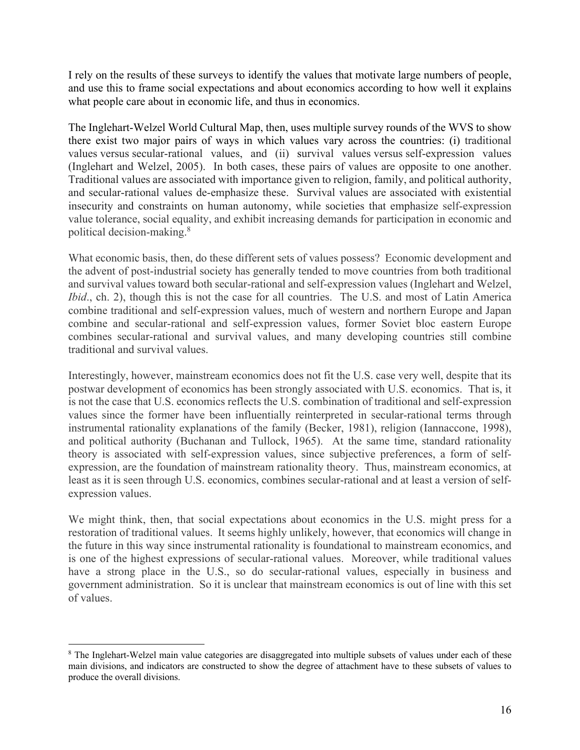I rely on the results of these surveys to identify the values that motivate large numbers of people, and use this to frame social expectations and about economics according to how well it explains what people care about in economic life, and thus in economics.

The Inglehart-Welzel World Cultural Map, then, uses multiple survey rounds of the WVS to show there exist two major pairs of ways in which values vary across the countries: (i) traditional values versus secular-rational values, and (ii) survival values versus self-expression values (Inglehart and Welzel, 2005). In both cases, these pairs of values are opposite to one another. Traditional values are associated with importance given to religion, family, and political authority, and secular-rational values de-emphasize these. Survival values are associated with existential insecurity and constraints on human autonomy, while societies that emphasize self-expression value tolerance, social equality, and exhibit increasing demands for participation in economic and political decision-making.8

What economic basis, then, do these different sets of values possess? Economic development and the advent of post-industrial society has generally tended to move countries from both traditional and survival values toward both secular-rational and self-expression values (Inglehart and Welzel, *Ibid.*, ch. 2), though this is not the case for all countries. The U.S. and most of Latin America combine traditional and self-expression values, much of western and northern Europe and Japan combine and secular-rational and self-expression values, former Soviet bloc eastern Europe combines secular-rational and survival values, and many developing countries still combine traditional and survival values.

Interestingly, however, mainstream economics does not fit the U.S. case very well, despite that its postwar development of economics has been strongly associated with U.S. economics. That is, it is not the case that U.S. economics reflects the U.S. combination of traditional and self-expression values since the former have been influentially reinterpreted in secular-rational terms through instrumental rationality explanations of the family (Becker, 1981), religion (Iannaccone, 1998), and political authority (Buchanan and Tullock, 1965). At the same time, standard rationality theory is associated with self-expression values, since subjective preferences, a form of selfexpression, are the foundation of mainstream rationality theory. Thus, mainstream economics, at least as it is seen through U.S. economics, combines secular-rational and at least a version of selfexpression values.

We might think, then, that social expectations about economics in the U.S. might press for a restoration of traditional values. It seems highly unlikely, however, that economics will change in the future in this way since instrumental rationality is foundational to mainstream economics, and is one of the highest expressions of secular-rational values. Moreover, while traditional values have a strong place in the U.S., so do secular-rational values, especially in business and government administration. So it is unclear that mainstream economics is out of line with this set of values.

<sup>&</sup>lt;sup>8</sup> The Inglehart-Welzel main value categories are disaggregated into multiple subsets of values under each of these main divisions, and indicators are constructed to show the degree of attachment have to these subsets of values to produce the overall divisions.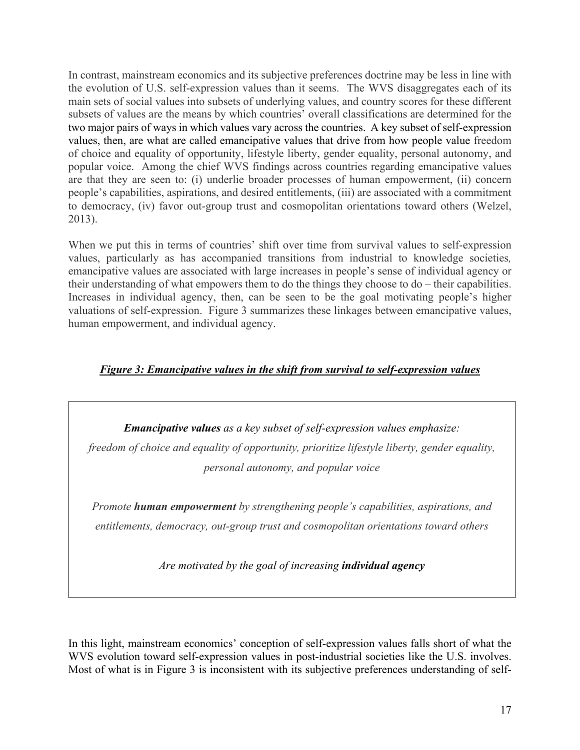In contrast, mainstream economics and its subjective preferences doctrine may be less in line with the evolution of U.S. self-expression values than it seems. The WVS disaggregates each of its main sets of social values into subsets of underlying values, and country scores for these different subsets of values are the means by which countries' overall classifications are determined for the two major pairs of ways in which values vary across the countries. A key subset of self-expression values, then, are what are called emancipative values that drive from how people value freedom of choice and equality of opportunity, lifestyle liberty, gender equality, personal autonomy, and popular voice. Among the chief WVS findings across countries regarding emancipative values are that they are seen to: (i) underlie broader processes of human empowerment, (ii) concern people's capabilities, aspirations, and desired entitlements, (iii) are associated with a commitment to democracy, (iv) favor out-group trust and cosmopolitan orientations toward others (Welzel, 2013).

When we put this in terms of countries' shift over time from survival values to self-expression values, particularly as has accompanied transitions from industrial to knowledge societies*,* emancipative values are associated with large increases in people's sense of individual agency or their understanding of what empowers them to do the things they choose to do – their capabilities. Increases in individual agency, then, can be seen to be the goal motivating people's higher valuations of self-expression. Figure 3 summarizes these linkages between emancipative values, human empowerment, and individual agency.

#### *Figure 3: Emancipative values in the shift from survival to self-expression values*

*Emancipative values as a key subset of self-expression values emphasize: freedom of choice and equality of opportunity, prioritize lifestyle liberty, gender equality, personal autonomy, and popular voice*

*Promote human empowerment by strengthening people's capabilities, aspirations, and entitlements, democracy, out-group trust and cosmopolitan orientations toward others*

*Are motivated by the goal of increasing individual agency*

In this light, mainstream economics' conception of self-expression values falls short of what the WVS evolution toward self-expression values in post-industrial societies like the U.S. involves. Most of what is in Figure 3 is inconsistent with its subjective preferences understanding of self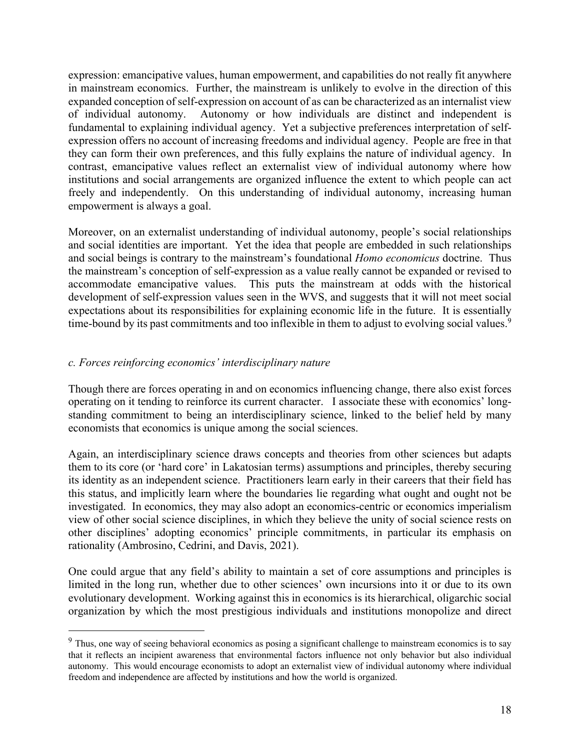expression: emancipative values, human empowerment, and capabilities do not really fit anywhere in mainstream economics. Further, the mainstream is unlikely to evolve in the direction of this expanded conception of self-expression on account of as can be characterized as an internalist view of individual autonomy. Autonomy or how individuals are distinct and independent is fundamental to explaining individual agency. Yet a subjective preferences interpretation of selfexpression offers no account of increasing freedoms and individual agency. People are free in that they can form their own preferences, and this fully explains the nature of individual agency. In contrast, emancipative values reflect an externalist view of individual autonomy where how institutions and social arrangements are organized influence the extent to which people can act freely and independently. On this understanding of individual autonomy, increasing human empowerment is always a goal.

Moreover, on an externalist understanding of individual autonomy, people's social relationships and social identities are important. Yet the idea that people are embedded in such relationships and social beings is contrary to the mainstream's foundational *Homo economicus* doctrine. Thus the mainstream's conception of self-expression as a value really cannot be expanded or revised to accommodate emancipative values. This puts the mainstream at odds with the historical development of self-expression values seen in the WVS, and suggests that it will not meet social expectations about its responsibilities for explaining economic life in the future. It is essentially time-bound by its past commitments and too inflexible in them to adjust to evolving social values.<sup>9</sup>

#### *c. Forces reinforcing economics' interdisciplinary nature*

Though there are forces operating in and on economics influencing change, there also exist forces operating on it tending to reinforce its current character. I associate these with economics' longstanding commitment to being an interdisciplinary science, linked to the belief held by many economists that economics is unique among the social sciences.

Again, an interdisciplinary science draws concepts and theories from other sciences but adapts them to its core (or 'hard core' in Lakatosian terms) assumptions and principles, thereby securing its identity as an independent science. Practitioners learn early in their careers that their field has this status, and implicitly learn where the boundaries lie regarding what ought and ought not be investigated. In economics, they may also adopt an economics-centric or economics imperialism view of other social science disciplines, in which they believe the unity of social science rests on other disciplines' adopting economics' principle commitments, in particular its emphasis on rationality (Ambrosino, Cedrini, and Davis, 2021).

One could argue that any field's ability to maintain a set of core assumptions and principles is limited in the long run, whether due to other sciences' own incursions into it or due to its own evolutionary development. Working against this in economics is its hierarchical, oligarchic social organization by which the most prestigious individuals and institutions monopolize and direct

<sup>&</sup>lt;sup>9</sup> Thus, one way of seeing behavioral economics as posing a significant challenge to mainstream economics is to say that it reflects an incipient awareness that environmental factors influence not only behavior but also individual autonomy. This would encourage economists to adopt an externalist view of individual autonomy where individual freedom and independence are affected by institutions and how the world is organized.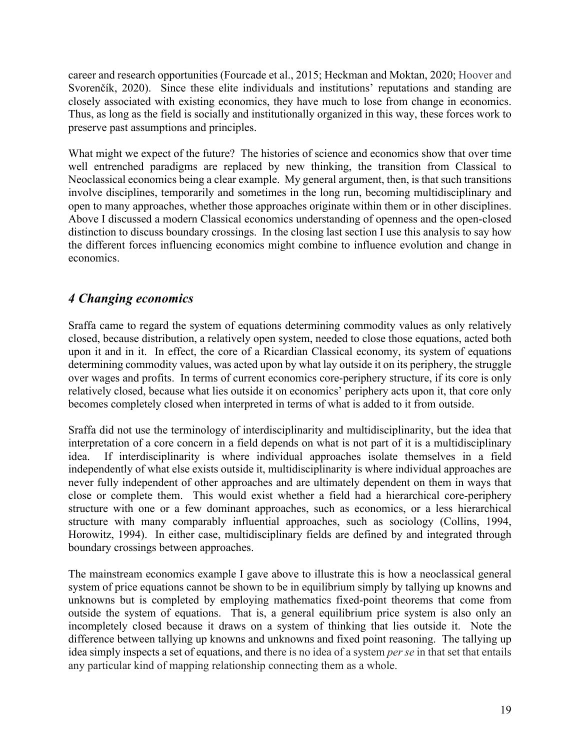career and research opportunities (Fourcade et al., 2015; Heckman and Moktan, 2020; Hoover and Svorenčík, 2020). Since these elite individuals and institutions' reputations and standing are closely associated with existing economics, they have much to lose from change in economics. Thus, as long as the field is socially and institutionally organized in this way, these forces work to preserve past assumptions and principles.

What might we expect of the future? The histories of science and economics show that over time well entrenched paradigms are replaced by new thinking, the transition from Classical to Neoclassical economics being a clear example. My general argument, then, is that such transitions involve disciplines, temporarily and sometimes in the long run, becoming multidisciplinary and open to many approaches, whether those approaches originate within them or in other disciplines. Above I discussed a modern Classical economics understanding of openness and the open-closed distinction to discuss boundary crossings. In the closing last section I use this analysis to say how the different forces influencing economics might combine to influence evolution and change in economics.

# *4 Changing economics*

Sraffa came to regard the system of equations determining commodity values as only relatively closed, because distribution, a relatively open system, needed to close those equations, acted both upon it and in it. In effect, the core of a Ricardian Classical economy, its system of equations determining commodity values, was acted upon by what lay outside it on its periphery, the struggle over wages and profits. In terms of current economics core-periphery structure, if its core is only relatively closed, because what lies outside it on economics' periphery acts upon it, that core only becomes completely closed when interpreted in terms of what is added to it from outside.

Sraffa did not use the terminology of interdisciplinarity and multidisciplinarity, but the idea that interpretation of a core concern in a field depends on what is not part of it is a multidisciplinary idea. If interdisciplinarity is where individual approaches isolate themselves in a field independently of what else exists outside it, multidisciplinarity is where individual approaches are never fully independent of other approaches and are ultimately dependent on them in ways that close or complete them. This would exist whether a field had a hierarchical core-periphery structure with one or a few dominant approaches, such as economics, or a less hierarchical structure with many comparably influential approaches, such as sociology (Collins, 1994, Horowitz, 1994). In either case, multidisciplinary fields are defined by and integrated through boundary crossings between approaches.

The mainstream economics example I gave above to illustrate this is how a neoclassical general system of price equations cannot be shown to be in equilibrium simply by tallying up knowns and unknowns but is completed by employing mathematics fixed-point theorems that come from outside the system of equations. That is, a general equilibrium price system is also only an incompletely closed because it draws on a system of thinking that lies outside it. Note the difference between tallying up knowns and unknowns and fixed point reasoning. The tallying up idea simply inspects a set of equations, and there is no idea of a system *per se* in that set that entails any particular kind of mapping relationship connecting them as a whole.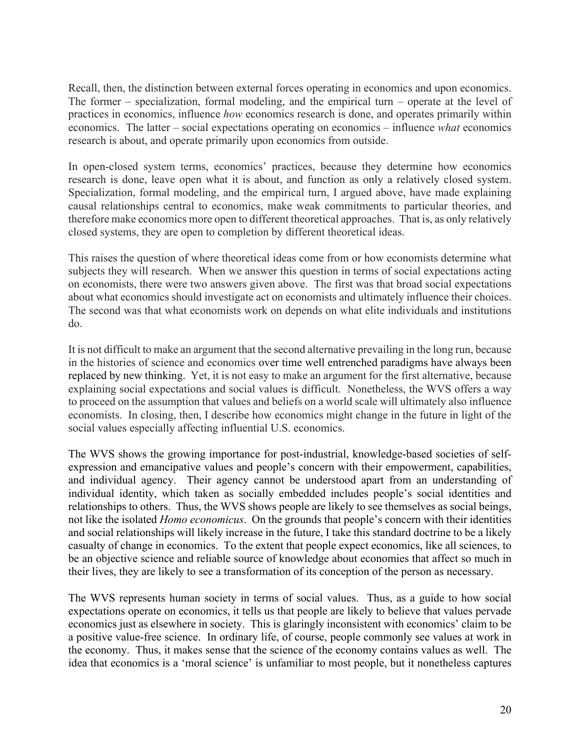Recall, then, the distinction between external forces operating in economics and upon economics. The former – specialization, formal modeling, and the empirical turn – operate at the level of practices in economics, influence *how* economics research is done, and operates primarily within economics. The latter – social expectations operating on economics – influence *what* economics research is about, and operate primarily upon economics from outside.

In open-closed system terms, economics' practices, because they determine how economics research is done, leave open what it is about, and function as only a relatively closed system. Specialization, formal modeling, and the empirical turn, I argued above, have made explaining causal relationships central to economics, make weak commitments to particular theories, and therefore make economics more open to different theoretical approaches. That is, as only relatively closed systems, they are open to completion by different theoretical ideas.

This raises the question of where theoretical ideas come from or how economists determine what subjects they will research. When we answer this question in terms of social expectations acting on economists, there were two answers given above. The first was that broad social expectations about what economics should investigate act on economists and ultimately influence their choices. The second was that what economists work on depends on what elite individuals and institutions do.

It is not difficult to make an argument that the second alternative prevailing in the long run, because in the histories of science and economics over time well entrenched paradigms have always been replaced by new thinking. Yet, it is not easy to make an argument for the first alternative, because explaining social expectations and social values is difficult. Nonetheless, the WVS offers a way to proceed on the assumption that values and beliefs on a world scale will ultimately also influence economists. In closing, then, I describe how economics might change in the future in light of the social values especially affecting influential U.S. economics.

The WVS shows the growing importance for post-industrial, knowledge-based societies of selfexpression and emancipative values and people's concern with their empowerment, capabilities, and individual agency. Their agency cannot be understood apart from an understanding of individual identity, which taken as socially embedded includes people's social identities and relationships to others. Thus, the WVS shows people are likely to see themselves as social beings, not like the isolated *Homo economicus*. On the grounds that people's concern with their identities and social relationships will likely increase in the future, I take this standard doctrine to be a likely casualty of change in economics. To the extent that people expect economics, like all sciences, to be an objective science and reliable source of knowledge about economies that affect so much in their lives, they are likely to see a transformation of its conception of the person as necessary.

The WVS represents human society in terms of social values. Thus, as a guide to how social expectations operate on economics, it tells us that people are likely to believe that values pervade economics just as elsewhere in society. This is glaringly inconsistent with economics' claim to be a positive value-free science. In ordinary life, of course, people commonly see values at work in the economy. Thus, it makes sense that the science of the economy contains values as well. The idea that economics is a 'moral science' is unfamiliar to most people, but it nonetheless captures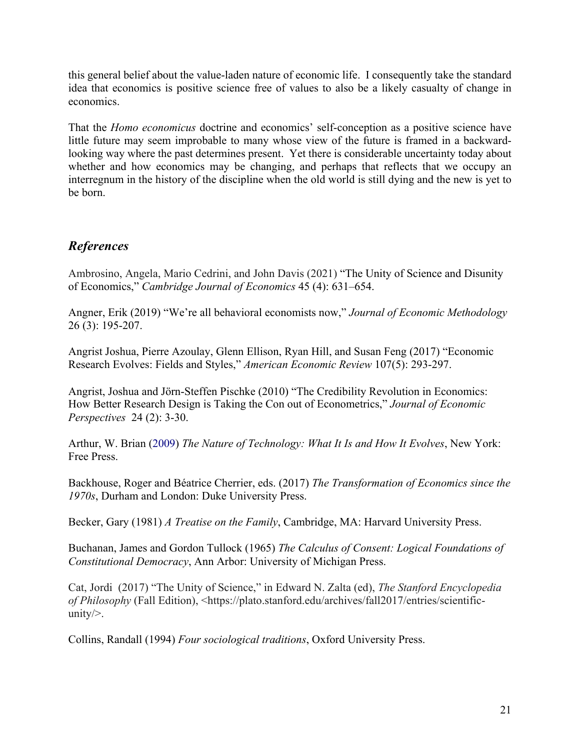this general belief about the value-laden nature of economic life. I consequently take the standard idea that economics is positive science free of values to also be a likely casualty of change in economics.

That the *Homo economicus* doctrine and economics' self-conception as a positive science have little future may seem improbable to many whose view of the future is framed in a backwardlooking way where the past determines present. Yet there is considerable uncertainty today about whether and how economics may be changing, and perhaps that reflects that we occupy an interregnum in the history of the discipline when the old world is still dying and the new is yet to be born.

# *References*

Ambrosino, Angela, Mario Cedrini, and John Davis (2021) "The Unity of Science and Disunity of Economics," *Cambridge Journal of Economics* 45 (4): 631–654.

Angner, Erik (2019) "We're all behavioral economists now," *Journal of Economic Methodology* 26 (3): 195-207.

Angrist Joshua, Pierre Azoulay, Glenn Ellison, Ryan Hill, and Susan Feng (2017) "Economic Research Evolves: Fields and Styles," *American Economic Review* 107(5): 293-297.

Angrist, Joshua and Jörn-Steffen Pischke (2010) "The Credibility Revolution in Economics: How Better Research Design is Taking the Con out of Econometrics," *Journal of Economic Perspectives* 24 (2): 3-30.

Arthur, W. Brian (2009) *The Nature of Technology: What It Is and How It Evolves*, New York: Free Press.

Backhouse, Roger and Béatrice Cherrier, eds. (2017) *The Transformation of Economics since the 1970s*, Durham and London: Duke University Press.

Becker, Gary (1981) *A Treatise on the Family*, Cambridge, MA: Harvard University Press.

Buchanan, James and Gordon Tullock (1965) *The Calculus of Consent: Logical Foundations of Constitutional Democracy*, Ann Arbor: University of Michigan Press.

Cat, Jordi (2017) "The Unity of Science," in Edward N. Zalta (ed), *The Stanford Encyclopedia of Philosophy* (Fall Edition), <https://plato.stanford.edu/archives/fall2017/entries/scientificunity/>.

Collins, Randall (1994) *Four sociological traditions*, Oxford University Press.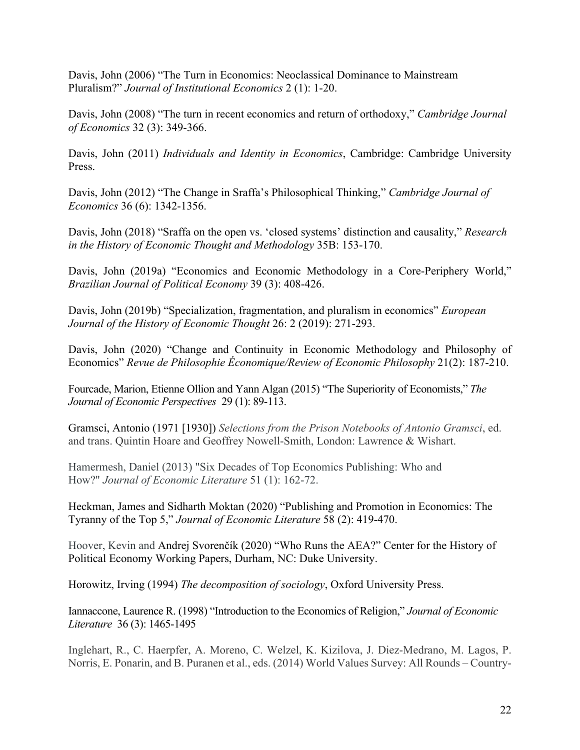Davis, John (2006) "The Turn in Economics: Neoclassical Dominance to Mainstream Pluralism?" *Journal of Institutional Economics* 2 (1): 1-20.

Davis, John (2008) "The turn in recent economics and return of orthodoxy," *Cambridge Journal of Economics* 32 (3): 349-366.

Davis, John (2011) *Individuals and Identity in Economics*, Cambridge: Cambridge University Press.

Davis, John (2012) "The Change in Sraffa's Philosophical Thinking," *Cambridge Journal of Economics* 36 (6): 1342-1356.

Davis, John (2018) "Sraffa on the open vs. 'closed systems' distinction and causality," *Research in the History of Economic Thought and Methodology* 35B: 153-170.

Davis, John (2019a) "Economics and Economic Methodology in a Core-Periphery World," *Brazilian Journal of Political Economy* 39 (3): 408-426.

Davis, John (2019b) "Specialization, fragmentation, and pluralism in economics" *European Journal of the History of Economic Thought* 26: 2 (2019): 271-293.

Davis, John (2020) "Change and Continuity in Economic Methodology and Philosophy of Economics" *Revue de Philosophie Économique/Review of Economic Philosophy* 21(2): 187-210.

Fourcade, Marion, Etienne Ollion and Yann Algan (2015) "The Superiority of Economists," *The Journal of Economic Perspectives* 29 (1): 89-113.

Gramsci, Antonio (1971 [1930]) *Selections from the Prison Notebooks of Antonio Gramsci*, ed. and trans. Quintin Hoare and Geoffrey Nowell-Smith, London: Lawrence & Wishart.

Hamermesh, Daniel (2013) "Six Decades of Top Economics Publishing: Who and How?" *Journal of Economic Literature* 51 (1): 162-72.

Heckman, James and Sidharth Moktan (2020) "Publishing and Promotion in Economics: The Tyranny of the Top 5," *Journal of Economic Literature* 58 (2): 419-470.

Hoover, Kevin and Andrej Svorenčík (2020) "Who Runs the AEA?" Center for the History of Political Economy Working Papers, Durham, NC: Duke University.

Horowitz, Irving (1994) *The decomposition of sociology*, Oxford University Press.

Iannaccone, Laurence R. (1998) "Introduction to the Economics of Religion," *Journal of Economic Literature* 36 (3): 1465-1495

Inglehart, R., C. Haerpfer, A. Moreno, C. Welzel, K. Kizilova, J. Diez-Medrano, M. Lagos, P. Norris, E. Ponarin, and B. Puranen et al., eds. (2014) World Values Survey: All Rounds – Country